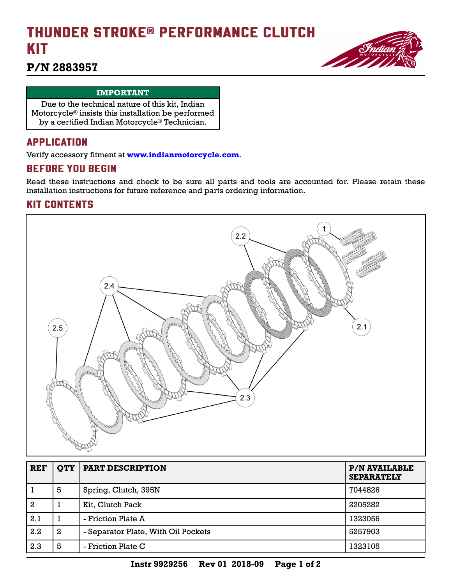# THUNDER STROKE® PERFORMANCE CLUTCH KIT



# **P/N 2883957**

#### **IMPORTANT**

Due to the technical nature of this kit, Indian Motorcycle® insists this installation be performed by a certified Indian Motorcycle® Technician.

### APPLICATION

Verify accessory fitment at **<www.indianmotorcycle.com>**.

### BEFORE YOU BEGIN

Read these instructions and check to be sure all parts and tools are accounted for. Please retain these installation instructions for future reference and parts ordering information.

### KIT CONTENTS



| <b>REF</b>   | <b>OTY</b>   | <b>PART DESCRIPTION</b>             | <b>P/N AVAILABLE</b><br><b>SEPARATELY</b> |
|--------------|--------------|-------------------------------------|-------------------------------------------|
|              | 5            | Spring, Clutch, 395N                | 7044826                                   |
| $\mathbf{2}$ |              | Kit, Clutch Pack                    | 2205282                                   |
| 2.1          |              | - Friction Plate A                  | 1323056                                   |
| 2.2          | $\mathbf{2}$ | - Separator Plate, With Oil Pockets | 5257903                                   |
| 2.3          | 5            | - Friction Plate C                  | 1323105                                   |